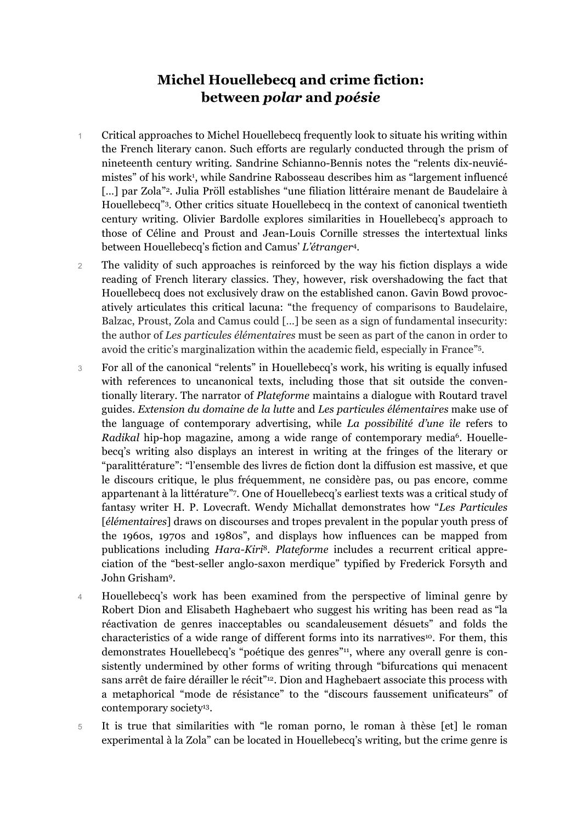# **Michel Houellebecq and crime fiction: between** *polar* **and** *poésie*

- 1 Critical approaches to Michel Houellebecq frequently look to situate his writing within the French literary canon. Such efforts are regularly conducted through the prism of nineteenth century writing. Sandrine Schianno-Bennis notes the "relents dix-neuviémistes" of his work1 , while Sandrine Rabosseau describes him as "largement influencé [...] par Zola"<sup>2</sup>. Julia Pröll establishes "une filiation littéraire menant de Baudelaire à Houellebecq"3. Other critics situate Houellebecq in the context of canonical twentieth century writing. Olivier Bardolle explores similarities in Houellebecq's approach to those of Céline and Proust and Jean-Louis Cornille stresses the intertextual links between Houellebecq's fiction and Camus' *L'étranger*<sup>4</sup>*.*
- 2 The validity of such approaches is reinforced by the way his fiction displays a wide reading of French literary classics. They, however, risk overshadowing the fact that Houellebecq does not exclusively draw on the established canon. Gavin Bowd provocatively articulates this critical lacuna: "the frequency of comparisons to Baudelaire, Balzac, Proust, Zola and Camus could […] be seen as a sign of fundamental insecurity: the author of *Les particules élémentaires* must be seen as part of the canon in order to avoid the critic's marginalization within the academic field, especially in France"5.
- 3 For all of the canonical "relents" in Houellebecq's work, his writing is equally infused with references to uncanonical texts, including those that sit outside the conventionally literary. The narrator of *Plateforme* maintains a dialogue with Routard travel guides. *Extension du domaine de la lutte* and *Les particules élémentaires* make use of the language of contemporary advertising, while *La possibilité d'une île* refers to *Radikal* hip-hop magazine, among a wide range of contemporary media<sup>6</sup>. Houellebecq's writing also displays an interest in writing at the fringes of the literary or "paralittérature": "l'ensemble des livres de fiction dont la diffusion est massive, et que le discours critique, le plus fréquemment, ne considère pas, ou pas encore, comme appartenant à la littérature"7. One of Houellebecq's earliest texts was a critical study of fantasy writer H. P. Lovecraft. Wendy Michallat demonstrates how "*Les Particules* [*élémentaires*] draws on discourses and tropes prevalent in the popular youth press of the 1960s, 1970s and 1980s", and displays how influences can be mapped from publications including *Hara-Kiri*<sup>8</sup>*. Plateforme* includes a recurrent critical appreciation of the "best-seller anglo-saxon merdique" typified by Frederick Forsyth and John Grisham9.
- 4 Houellebecq's work has been examined from the perspective of liminal genre by Robert Dion and Elisabeth Haghebaert who suggest his writing has been read as "la réactivation de genres inacceptables ou scandaleusement désuets" and folds the characteristics of a wide range of different forms into its narratives<sup>10</sup>. For them, this demonstrates Houellebecq's "poétique des genres"<sup>11</sup>, where any overall genre is consistently undermined by other forms of writing through "bifurcations qui menacent sans arrêt de faire dérailler le récit"<sup>12</sup>. Dion and Haghebaert associate this process with a metaphorical "mode de résistance" to the "discours faussement unificateurs" of contemporary society<sup>13</sup>.
- 5 It is true that similarities with "le roman porno, le roman à thèse [et] le roman experimental à la Zola" can be located in Houellebecq's writing, but the crime genre is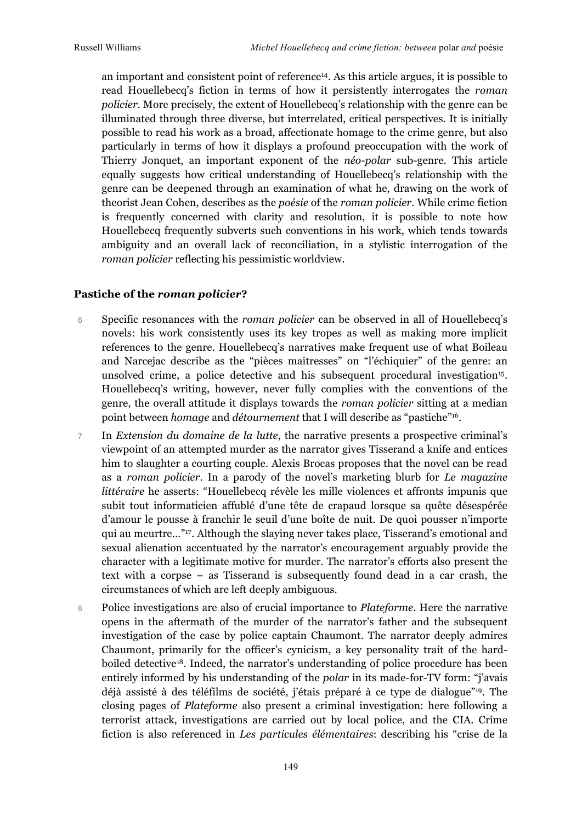an important and consistent point of reference14. As this article argues, it is possible to read Houellebecq's fiction in terms of how it persistently interrogates the *roman policier*. More precisely, the extent of Houellebecq's relationship with the genre can be illuminated through three diverse, but interrelated, critical perspectives. It is initially possible to read his work as a broad, affectionate homage to the crime genre, but also particularly in terms of how it displays a profound preoccupation with the work of Thierry Jonquet, an important exponent of the *néo-polar* sub-genre. This article equally suggests how critical understanding of Houellebecq's relationship with the genre can be deepened through an examination of what he, drawing on the work of theorist Jean Cohen, describes as the *poésie* of the *roman policier*. While crime fiction is frequently concerned with clarity and resolution, it is possible to note how Houellebecq frequently subverts such conventions in his work, which tends towards ambiguity and an overall lack of reconciliation, in a stylistic interrogation of the *roman policier* reflecting his pessimistic worldview.

#### **Pastiche of the** *roman policier***?**

- 6 Specific resonances with the *roman policier* can be observed in all of Houellebecq's novels: his work consistently uses its key tropes as well as making more implicit references to the genre. Houellebecq's narratives make frequent use of what Boileau and Narcejac describe as the "pièces maitresses" on "l'échiquier" of the genre: an unsolved crime, a police detective and his subsequent procedural investigation<sup>15</sup>. Houellebecq's writing, however, never fully complies with the conventions of the genre, the overall attitude it displays towards the *roman policier* sitting at a median point between *homage* and *détournement* that I will describe as "pastiche"16.
- 7 In *Extension du domaine de la lutte*, the narrative presents a prospective criminal's viewpoint of an attempted murder as the narrator gives Tisserand a knife and entices him to slaughter a courting couple. Alexis Brocas proposes that the novel can be read as a *roman policier*. In a parody of the novel's marketing blurb for *Le magazine littéraire* he asserts: "Houellebecq révèle les mille violences et affronts impunis que subit tout informaticien affublé d'une tête de crapaud lorsque sa quête désespérée d'amour le pousse à franchir le seuil d'une boîte de nuit. De quoi pousser n'importe qui au meurtre…"17. Although the slaying never takes place, Tisserand's emotional and sexual alienation accentuated by the narrator's encouragement arguably provide the character with a legitimate motive for murder. The narrator's efforts also present the text with a corpse – as Tisserand is subsequently found dead in a car crash, the circumstances of which are left deeply ambiguous.
- 8 Police investigations are also of crucial importance to *Plateforme*. Here the narrative opens in the aftermath of the murder of the narrator's father and the subsequent investigation of the case by police captain Chaumont. The narrator deeply admires Chaumont, primarily for the officer's cynicism, a key personality trait of the hardboiled detective18. Indeed, the narrator's understanding of police procedure has been entirely informed by his understanding of the *polar* in its made-for-TV form: "j'avais déjà assisté à des téléfilms de société, j'étais préparé à ce type de dialogue"19. The closing pages of *Plateforme* also present a criminal investigation: here following a terrorist attack, investigations are carried out by local police, and the CIA. Crime fiction is also referenced in *Les particules élémentaires*: describing his "crise de la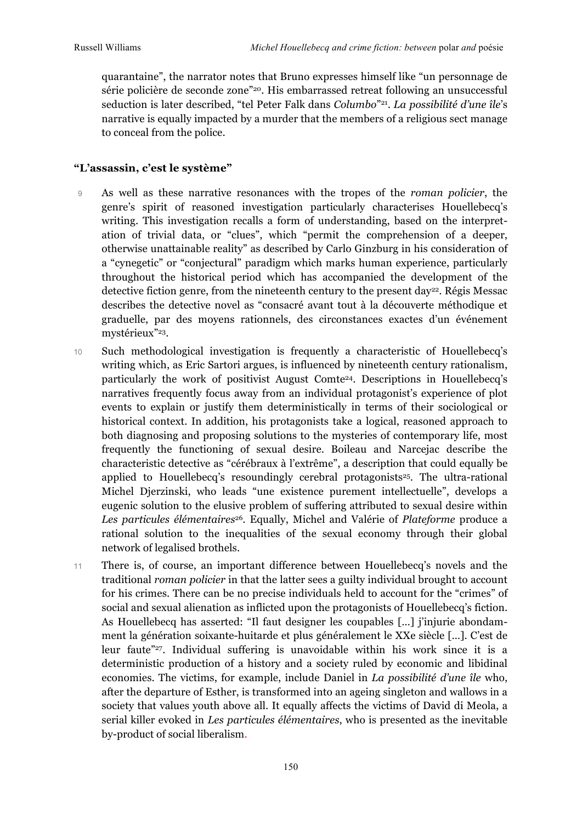quarantaine", the narrator notes that Bruno expresses himself like "un personnage de série policière de seconde zone"20. His embarrassed retreat following an unsuccessful seduction is later described, "tel Peter Falk dans *Columbo*"21. *La possibilité d'une île*'s narrative is equally impacted by a murder that the members of a religious sect manage to conceal from the police.

## **"L'assassin, c'est le système"**

- 9 As well as these narrative resonances with the tropes of the *roman policier*, the genre's spirit of reasoned investigation particularly characterises Houellebecq's writing. This investigation recalls a form of understanding, based on the interpretation of trivial data, or "clues", which "permit the comprehension of a deeper, otherwise unattainable reality" as described by Carlo Ginzburg in his consideration of a "cynegetic" or "conjectural" paradigm which marks human experience, particularly throughout the historical period which has accompanied the development of the detective fiction genre, from the nineteenth century to the present day<sup>22</sup>. Régis Messac describes the detective novel as "consacré avant tout à la découverte méthodique et graduelle, par des moyens rationnels, des circonstances exactes d'un événement mystérieux"23.
- 10 Such methodological investigation is frequently a characteristic of Houellebecq's writing which, as Eric Sartori argues, is influenced by nineteenth century rationalism, particularly the work of positivist August Comte24. Descriptions in Houellebecq's narratives frequently focus away from an individual protagonist's experience of plot events to explain or justify them deterministically in terms of their sociological or historical context. In addition, his protagonists take a logical, reasoned approach to both diagnosing and proposing solutions to the mysteries of contemporary life, most frequently the functioning of sexual desire. Boileau and Narcejac describe the characteristic detective as "cérébraux à l'extrême", a description that could equally be applied to Houellebecq's resoundingly cerebral protagonists<sup>25</sup>. The ultra-rational Michel Djerzinski, who leads "une existence purement intellectuelle", develops a eugenic solution to the elusive problem of suffering attributed to sexual desire within Les particules élémentaires<sup>26</sup>. Equally, Michel and Valérie of *Plateforme* produce a rational solution to the inequalities of the sexual economy through their global network of legalised brothels.
- 11 There is, of course, an important difference between Houellebecq's novels and the traditional *roman policier* in that the latter sees a guilty individual brought to account for his crimes. There can be no precise individuals held to account for the "crimes" of social and sexual alienation as inflicted upon the protagonists of Houellebecq's fiction. As Houellebecq has asserted: "Il faut designer les coupables […] j'injurie abondamment la génération soixante-huitarde et plus généralement le XXe siècle […]. C'est de leur faute"27. Individual suffering is unavoidable within his work since it is a deterministic production of a history and a society ruled by economic and libidinal economies. The victims, for example, include Daniel in *La possibilité d'une île* who, after the departure of Esther, is transformed into an ageing singleton and wallows in a society that values youth above all. It equally affects the victims of David di Meola, a serial killer evoked in *Les particules élémentaires*, who is presented as the inevitable by-product of social liberalism.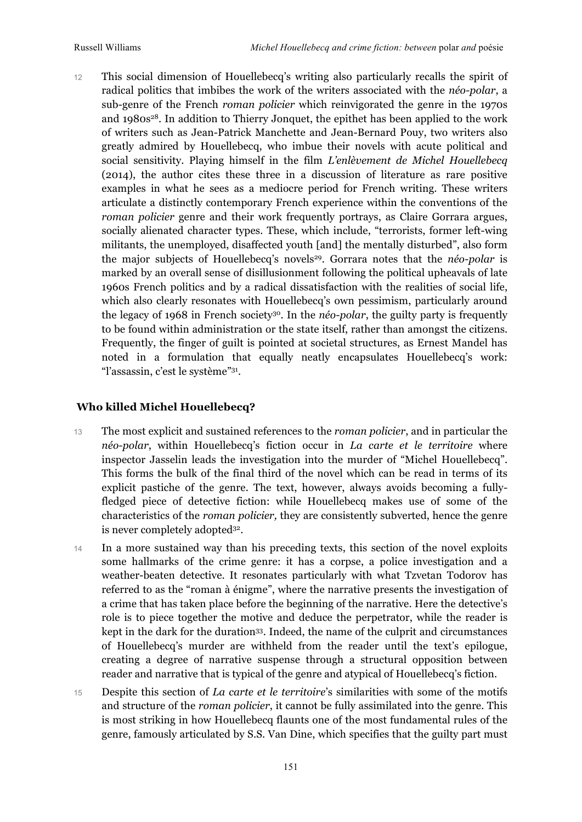12 This social dimension of Houellebecq's writing also particularly recalls the spirit of radical politics that imbibes the work of the writers associated with the *néo-polar*, a sub-genre of the French *roman policier* which reinvigorated the genre in the 1970s and 1980s28. In addition to Thierry Jonquet, the epithet has been applied to the work of writers such as Jean-Patrick Manchette and Jean-Bernard Pouy, two writers also greatly admired by Houellebecq, who imbue their novels with acute political and social sensitivity. Playing himself in the film *L'enlèvement de Michel Houellebecq* (2014), the author cites these three in a discussion of literature as rare positive examples in what he sees as a mediocre period for French writing. These writers articulate a distinctly contemporary French experience within the conventions of the *roman policier* genre and their work frequently portrays, as Claire Gorrara argues, socially alienated character types. These, which include, "terrorists, former left-wing militants, the unemployed, disaffected youth [and] the mentally disturbed", also form the major subjects of Houellebecq's novels<sup>29</sup>. Gorrara notes that the *néo-polar* is marked by an overall sense of disillusionment following the political upheavals of late 1960s French politics and by a radical dissatisfaction with the realities of social life, which also clearly resonates with Houellebecq's own pessimism, particularly around the legacy of 1968 in French society30. In the *néo-polar*, the guilty party is frequently to be found within administration or the state itself, rather than amongst the citizens. Frequently, the finger of guilt is pointed at societal structures, as Ernest Mandel has noted in a formulation that equally neatly encapsulates Houellebecq's work: "l'assassin, c'est le système"31.

#### **Who killed Michel Houellebecq?**

- 13 The most explicit and sustained references to the *roman policier*, and in particular the *néo-polar*, within Houellebecq's fiction occur in *La carte et le territoire* where inspector Jasselin leads the investigation into the murder of "Michel Houellebecq". This forms the bulk of the final third of the novel which can be read in terms of its explicit pastiche of the genre. The text, however, always avoids becoming a fullyfledged piece of detective fiction: while Houellebecq makes use of some of the characteristics of the *roman policier,* they are consistently subverted, hence the genre is never completely adopted32.
- 14 In a more sustained way than his preceding texts, this section of the novel exploits some hallmarks of the crime genre: it has a corpse, a police investigation and a weather-beaten detective. It resonates particularly with what Tzvetan Todorov has referred to as the "roman à énigme", where the narrative presents the investigation of a crime that has taken place before the beginning of the narrative. Here the detective's role is to piece together the motive and deduce the perpetrator, while the reader is kept in the dark for the duration33. Indeed, the name of the culprit and circumstances of Houellebecq's murder are withheld from the reader until the text's epilogue, creating a degree of narrative suspense through a structural opposition between reader and narrative that is typical of the genre and atypical of Houellebecq's fiction.
- 15 Despite this section of *La carte et le territoire*'s similarities with some of the motifs and structure of the *roman policier*, it cannot be fully assimilated into the genre. This is most striking in how Houellebecq flaunts one of the most fundamental rules of the genre, famously articulated by S.S. Van Dine, which specifies that the guilty part must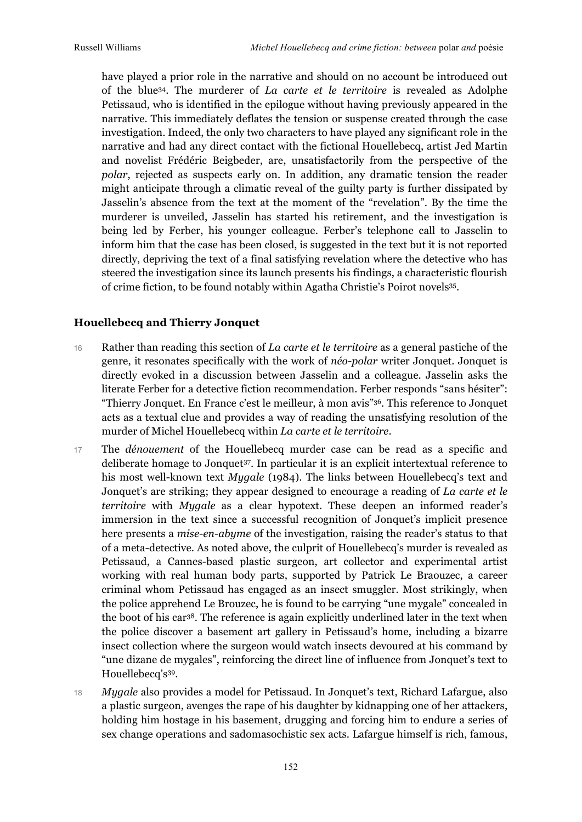have played a prior role in the narrative and should on no account be introduced out of the blue34. The murderer of *La carte et le territoire* is revealed as Adolphe Petissaud, who is identified in the epilogue without having previously appeared in the narrative. This immediately deflates the tension or suspense created through the case investigation. Indeed, the only two characters to have played any significant role in the narrative and had any direct contact with the fictional Houellebecq, artist Jed Martin and novelist Frédéric Beigbeder, are, unsatisfactorily from the perspective of the *polar*, rejected as suspects early on. In addition, any dramatic tension the reader might anticipate through a climatic reveal of the guilty party is further dissipated by Jasselin's absence from the text at the moment of the "revelation". By the time the murderer is unveiled, Jasselin has started his retirement, and the investigation is being led by Ferber, his younger colleague. Ferber's telephone call to Jasselin to inform him that the case has been closed, is suggested in the text but it is not reported directly, depriving the text of a final satisfying revelation where the detective who has steered the investigation since its launch presents his findings, a characteristic flourish of crime fiction, to be found notably within Agatha Christie's Poirot novels35.

#### **Houellebecq and Thierry Jonquet**

- 16 Rather than reading this section of *La carte et le territoire* as a general pastiche of the genre, it resonates specifically with the work of *néo-polar* writer Jonquet. Jonquet is directly evoked in a discussion between Jasselin and a colleague. Jasselin asks the literate Ferber for a detective fiction recommendation. Ferber responds "sans hésiter": "Thierry Jonquet. En France c'est le meilleur, à mon avis"36. This reference to Jonquet acts as a textual clue and provides a way of reading the unsatisfying resolution of the murder of Michel Houellebecq within *La carte et le territoire*.
- 17 The *dénouement* of the Houellebecq murder case can be read as a specific and deliberate homage to Jonquet<sup>37</sup>. In particular it is an explicit intertextual reference to his most well-known text *Mygale* (1984). The links between Houellebecq's text and Jonquet's are striking; they appear designed to encourage a reading of *La carte et le territoire* with *Mygale* as a clear hypotext. These deepen an informed reader's immersion in the text since a successful recognition of Jonquet's implicit presence here presents a *mise-en-abyme* of the investigation, raising the reader's status to that of a meta-detective. As noted above, the culprit of Houellebecq's murder is revealed as Petissaud, a Cannes-based plastic surgeon, art collector and experimental artist working with real human body parts, supported by Patrick Le Braouzec, a career criminal whom Petissaud has engaged as an insect smuggler. Most strikingly, when the police apprehend Le Brouzec, he is found to be carrying "une mygale" concealed in the boot of his car38. The reference is again explicitly underlined later in the text when the police discover a basement art gallery in Petissaud's home, including a bizarre insect collection where the surgeon would watch insects devoured at his command by "une dizane de mygales", reinforcing the direct line of influence from Jonquet's text to Houellebecq's39.
- 18 *Mygale* also provides a model for Petissaud. In Jonquet's text, Richard Lafargue, also a plastic surgeon, avenges the rape of his daughter by kidnapping one of her attackers, holding him hostage in his basement, drugging and forcing him to endure a series of sex change operations and sadomasochistic sex acts. Lafargue himself is rich, famous,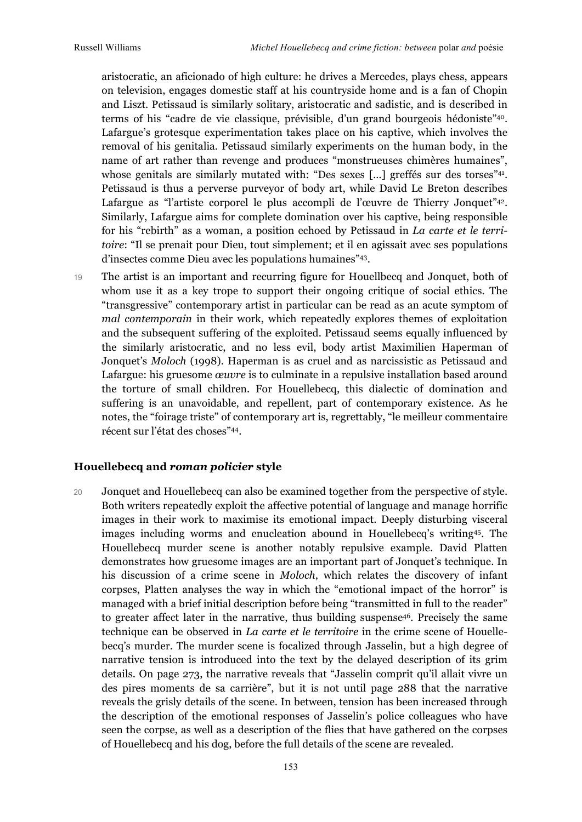aristocratic, an aficionado of high culture: he drives a Mercedes, plays chess, appears on television, engages domestic staff at his countryside home and is a fan of Chopin and Liszt. Petissaud is similarly solitary, aristocratic and sadistic, and is described in terms of his "cadre de vie classique, prévisible, d'un grand bourgeois hédoniste"40. Lafargue's grotesque experimentation takes place on his captive, which involves the removal of his genitalia. Petissaud similarly experiments on the human body, in the name of art rather than revenge and produces "monstrueuses chimères humaines", whose genitals are similarly mutated with: "Des sexes [...] greffés sur des torses"<sup>41</sup>. Petissaud is thus a perverse purveyor of body art, while David Le Breton describes Lafargue as "l'artiste corporel le plus accompli de l'œuvre de Thierry Jonquet"<sup>42</sup>. Similarly, Lafargue aims for complete domination over his captive, being responsible for his "rebirth" as a woman, a position echoed by Petissaud in *La carte et le territoire*: "Il se prenait pour Dieu, tout simplement; et il en agissait avec ses populations d'insectes comme Dieu avec les populations humaines"43.

19 The artist is an important and recurring figure for Houellbecq and Jonquet, both of whom use it as a key trope to support their ongoing critique of social ethics. The "transgressive" contemporary artist in particular can be read as an acute symptom of *mal contemporain* in their work, which repeatedly explores themes of exploitation and the subsequent suffering of the exploited. Petissaud seems equally influenced by the similarly aristocratic, and no less evil, body artist Maximilien Haperman of Jonquet's *Moloch* (1998). Haperman is as cruel and as narcissistic as Petissaud and Lafargue: his gruesome *œuvre* is to culminate in a repulsive installation based around the torture of small children. For Houellebecq, this dialectic of domination and suffering is an unavoidable, and repellent, part of contemporary existence. As he notes, the "foirage triste" of contemporary art is, regrettably, "le meilleur commentaire récent sur l'état des choses"44.

## **Houellebecq and** *roman policier* **style**

20 Jonquet and Houellebecq can also be examined together from the perspective of style. Both writers repeatedly exploit the affective potential of language and manage horrific images in their work to maximise its emotional impact. Deeply disturbing visceral images including worms and enucleation abound in Houellebecq's writing45. The Houellebecq murder scene is another notably repulsive example. David Platten demonstrates how gruesome images are an important part of Jonquet's technique. In his discussion of a crime scene in *Moloch*, which relates the discovery of infant corpses, Platten analyses the way in which the "emotional impact of the horror" is managed with a brief initial description before being "transmitted in full to the reader" to greater affect later in the narrative, thus building suspense46. Precisely the same technique can be observed in *La carte et le territoire* in the crime scene of Houellebecq's murder. The murder scene is focalized through Jasselin, but a high degree of narrative tension is introduced into the text by the delayed description of its grim details. On page 273, the narrative reveals that "Jasselin comprit qu'il allait vivre un des pires moments de sa carrière", but it is not until page 288 that the narrative reveals the grisly details of the scene. In between, tension has been increased through the description of the emotional responses of Jasselin's police colleagues who have seen the corpse, as well as a description of the flies that have gathered on the corpses of Houellebecq and his dog, before the full details of the scene are revealed.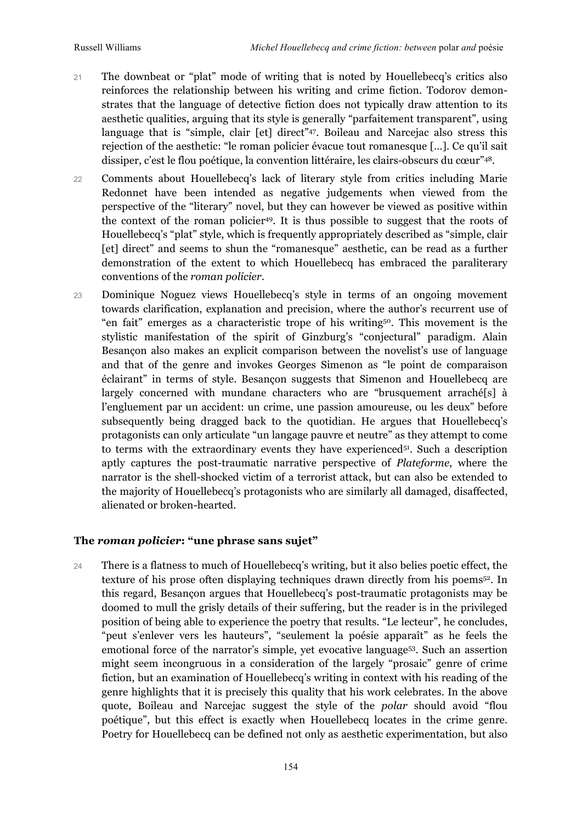- 21 The downbeat or "plat" mode of writing that is noted by Houellebecq's critics also reinforces the relationship between his writing and crime fiction. Todorov demonstrates that the language of detective fiction does not typically draw attention to its aesthetic qualities, arguing that its style is generally "parfaitement transparent", using language that is "simple, clair [et] direct"<sup>47</sup>. Boileau and Narcejac also stress this rejection of the aesthetic: "le roman policier évacue tout romanesque […]. Ce qu'il sait dissiper, c'est le flou poétique, la convention littéraire, les clairs-obscurs du cœur"48.
- 22 Comments about Houellebecq's lack of literary style from critics including Marie Redonnet have been intended as negative judgements when viewed from the perspective of the "literary" novel, but they can however be viewed as positive within the context of the roman policier<sup>49</sup>. It is thus possible to suggest that the roots of Houellebecq's "plat" style, which is frequently appropriately described as "simple, clair [et] direct" and seems to shun the "romanesque" aesthetic, can be read as a further demonstration of the extent to which Houellebecq has embraced the paraliterary conventions of the *roman policier*.
- 23 Dominique Noguez views Houellebecq's style in terms of an ongoing movement towards clarification, explanation and precision, where the author's recurrent use of "en fait" emerges as a characteristic trope of his writing50. This movement is the stylistic manifestation of the spirit of Ginzburg's "conjectural" paradigm. Alain Besançon also makes an explicit comparison between the novelist's use of language and that of the genre and invokes Georges Simenon as "le point de comparaison éclairant" in terms of style. Besançon suggests that Simenon and Houellebecq are largely concerned with mundane characters who are "brusquement arraché[s] à l'engluement par un accident: un crime, une passion amoureuse, ou les deux" before subsequently being dragged back to the quotidian. He argues that Houellebecq's protagonists can only articulate "un langage pauvre et neutre" as they attempt to come to terms with the extraordinary events they have experienced<sup>51</sup>. Such a description aptly captures the post-traumatic narrative perspective of *Plateforme*, where the narrator is the shell-shocked victim of a terrorist attack, but can also be extended to the majority of Houellebecq's protagonists who are similarly all damaged, disaffected, alienated or broken-hearted.

# **The** *roman policier***: "une phrase sans sujet"**

24 There is a flatness to much of Houellebecq's writing, but it also belies poetic effect, the texture of his prose often displaying techniques drawn directly from his poems52. In this regard, Besançon argues that Houellebecq's post-traumatic protagonists may be doomed to mull the grisly details of their suffering, but the reader is in the privileged position of being able to experience the poetry that results. "Le lecteur", he concludes, "peut s'enlever vers les hauteurs", "seulement la poésie apparaît" as he feels the emotional force of the narrator's simple, yet evocative language53. Such an assertion might seem incongruous in a consideration of the largely "prosaic" genre of crime fiction, but an examination of Houellebecq's writing in context with his reading of the genre highlights that it is precisely this quality that his work celebrates. In the above quote, Boileau and Narcejac suggest the style of the *polar* should avoid "flou poétique", but this effect is exactly when Houellebecq locates in the crime genre. Poetry for Houellebecq can be defined not only as aesthetic experimentation, but also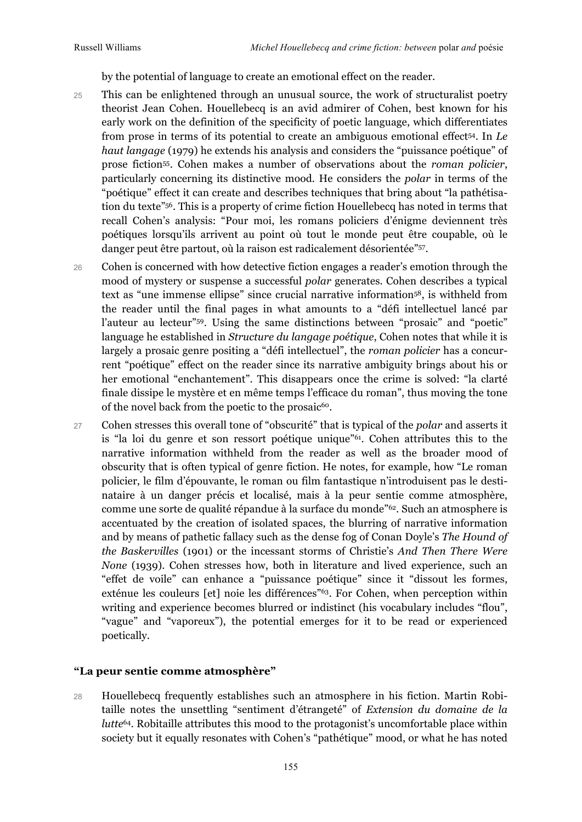by the potential of language to create an emotional effect on the reader.

- 25 This can be enlightened through an unusual source, the work of structuralist poetry theorist Jean Cohen. Houellebecq is an avid admirer of Cohen, best known for his early work on the definition of the specificity of poetic language, which differentiates from prose in terms of its potential to create an ambiguous emotional effect54. In *Le haut langage* (1979) he extends his analysis and considers the "puissance poétique" of prose fiction55. Cohen makes a number of observations about the *roman policier*, particularly concerning its distinctive mood. He considers the *polar* in terms of the "poétique" effect it can create and describes techniques that bring about "la pathétisation du texte"56. This is a property of crime fiction Houellebecq has noted in terms that recall Cohen's analysis: "Pour moi, les romans policiers d'énigme deviennent très poétiques lorsqu'ils arrivent au point où tout le monde peut être coupable, où le danger peut être partout, où la raison est radicalement désorientée"57.
- 26 Cohen is concerned with how detective fiction engages a reader's emotion through the mood of mystery or suspense a successful *polar* generates. Cohen describes a typical text as "une immense ellipse" since crucial narrative information58, is withheld from the reader until the final pages in what amounts to a "défi intellectuel lancé par l'auteur au lecteur"59. Using the same distinctions between "prosaic" and "poetic" language he established in *Structure du langage poétique*, Cohen notes that while it is largely a prosaic genre positing a "défi intellectuel", the *roman policier* has a concurrent "poétique" effect on the reader since its narrative ambiguity brings about his or her emotional "enchantement". This disappears once the crime is solved: "la clarté finale dissipe le mystère et en même temps l'efficace du roman", thus moving the tone of the novel back from the poetic to the prosaic<sup>60</sup>.
- 27 Cohen stresses this overall tone of "obscurité" that is typical of the *polar* and asserts it is "la loi du genre et son ressort poétique unique"61. Cohen attributes this to the narrative information withheld from the reader as well as the broader mood of obscurity that is often typical of genre fiction. He notes, for example, how "Le roman policier, le film d'épouvante, le roman ou film fantastique n'introduisent pas le destinataire à un danger précis et localisé, mais à la peur sentie comme atmosphère, comme une sorte de qualité répandue à la surface du monde"62. Such an atmosphere is accentuated by the creation of isolated spaces, the blurring of narrative information and by means of pathetic fallacy such as the dense fog of Conan Doyle's *The Hound of the Baskervilles* (1901) or the incessant storms of Christie's *And Then There Were None* (1939). Cohen stresses how, both in literature and lived experience, such an "effet de voile" can enhance a "puissance poétique" since it "dissout les formes, exténue les couleurs [et] noie les différences"63. For Cohen, when perception within writing and experience becomes blurred or indistinct (his vocabulary includes "flou", "vague" and "vaporeux"), the potential emerges for it to be read or experienced poetically.

# **"La peur sentie comme atmosphère"**

28 Houellebecq frequently establishes such an atmosphere in his fiction. Martin Robitaille notes the unsettling "sentiment d'étrangeté" of *Extension du domaine de la lutte*<sup>64</sup>*.* Robitaille attributes this mood to the protagonist's uncomfortable place within society but it equally resonates with Cohen's "pathétique" mood, or what he has noted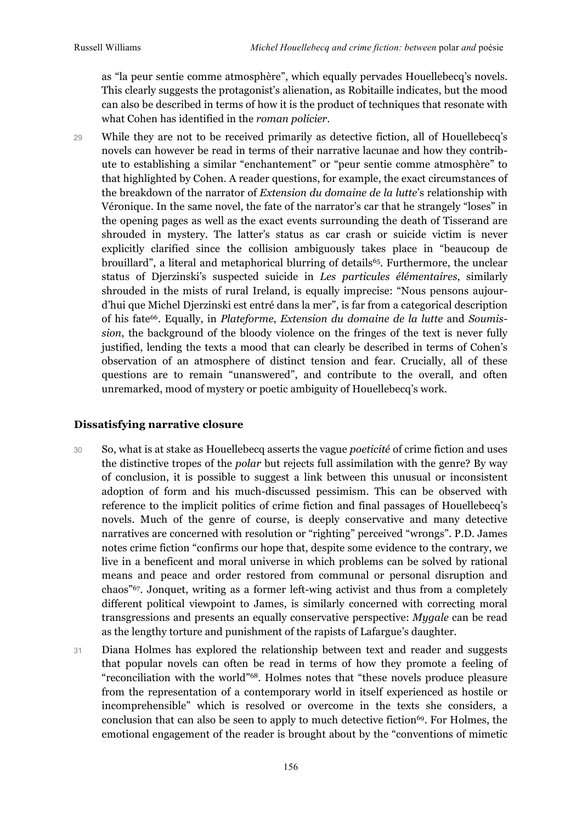as "la peur sentie comme atmosphère", which equally pervades Houellebecq's novels. This clearly suggests the protagonist's alienation, as Robitaille indicates, but the mood can also be described in terms of how it is the product of techniques that resonate with what Cohen has identified in the *roman policier*.

29 While they are not to be received primarily as detective fiction, all of Houellebecq's novels can however be read in terms of their narrative lacunae and how they contribute to establishing a similar "enchantement" or "peur sentie comme atmosphère" to that highlighted by Cohen. A reader questions, for example, the exact circumstances of the breakdown of the narrator of *Extension du domaine de la lutte*'s relationship with Véronique. In the same novel, the fate of the narrator's car that he strangely "loses" in the opening pages as well as the exact events surrounding the death of Tisserand are shrouded in mystery. The latter's status as car crash or suicide victim is never explicitly clarified since the collision ambiguously takes place in "beaucoup de brouillard", a literal and metaphorical blurring of details65. Furthermore, the unclear status of Djerzinski's suspected suicide in *Les particules élémentaires*, similarly shrouded in the mists of rural Ireland, is equally imprecise: "Nous pensons aujourd'hui que Michel Djerzinski est entré dans la mer", is far from a categorical description of his fate66. Equally, in *Plateforme*, *Extension du domaine de la lutte* and *Soumission*, the background of the bloody violence on the fringes of the text is never fully justified, lending the texts a mood that can clearly be described in terms of Cohen's observation of an atmosphere of distinct tension and fear. Crucially, all of these questions are to remain "unanswered", and contribute to the overall, and often unremarked, mood of mystery or poetic ambiguity of Houellebecq's work.

## **Dissatisfying narrative closure**

- 30 So, what is at stake as Houellebecq asserts the vague *poeticité* of crime fiction and uses the distinctive tropes of the *polar* but rejects full assimilation with the genre? By way of conclusion, it is possible to suggest a link between this unusual or inconsistent adoption of form and his much-discussed pessimism. This can be observed with reference to the implicit politics of crime fiction and final passages of Houellebecq's novels. Much of the genre of course, is deeply conservative and many detective narratives are concerned with resolution or "righting" perceived "wrongs". P.D. James notes crime fiction "confirms our hope that, despite some evidence to the contrary, we live in a beneficent and moral universe in which problems can be solved by rational means and peace and order restored from communal or personal disruption and chaos"67. Jonquet, writing as a former left-wing activist and thus from a completely different political viewpoint to James, is similarly concerned with correcting moral transgressions and presents an equally conservative perspective: *Mygale* can be read as the lengthy torture and punishment of the rapists of Lafargue's daughter.
- 31 Diana Holmes has explored the relationship between text and reader and suggests that popular novels can often be read in terms of how they promote a feeling of "reconciliation with the world"68. Holmes notes that "these novels produce pleasure from the representation of a contemporary world in itself experienced as hostile or incomprehensible" which is resolved or overcome in the texts she considers, a conclusion that can also be seen to apply to much detective fiction<sup>69</sup>. For Holmes, the emotional engagement of the reader is brought about by the "conventions of mimetic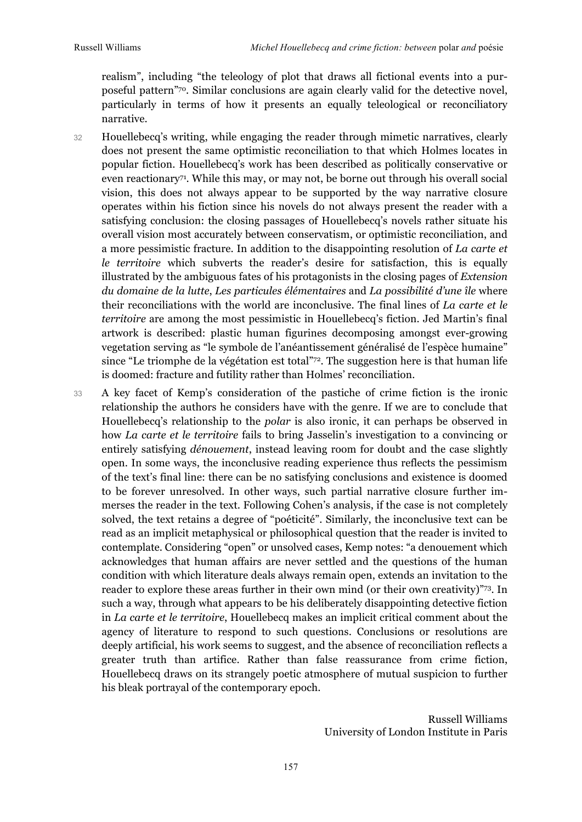realism", including "the teleology of plot that draws all fictional events into a purposeful pattern"70. Similar conclusions are again clearly valid for the detective novel, particularly in terms of how it presents an equally teleological or reconciliatory narrative.

- 32 Houellebecq's writing, while engaging the reader through mimetic narratives, clearly does not present the same optimistic reconciliation to that which Holmes locates in popular fiction. Houellebecq's work has been described as politically conservative or even reactionary71. While this may, or may not, be borne out through his overall social vision, this does not always appear to be supported by the way narrative closure operates within his fiction since his novels do not always present the reader with a satisfying conclusion: the closing passages of Houellebecq's novels rather situate his overall vision most accurately between conservatism, or optimistic reconciliation, and a more pessimistic fracture. In addition to the disappointing resolution of *La carte et le territoire* which subverts the reader's desire for satisfaction, this is equally illustrated by the ambiguous fates of his protagonists in the closing pages of *Extension du domaine de la lutte*, *Les particules élémentaires* and *La possibilité d'une île* where their reconciliations with the world are inconclusive. The final lines of *La carte et le territoire* are among the most pessimistic in Houellebecq's fiction. Jed Martin's final artwork is described: plastic human figurines decomposing amongst ever-growing vegetation serving as "le symbole de l'anéantissement généralisé de l'espèce humaine" since "Le triomphe de la végétation est total"<sup>72</sup>. The suggestion here is that human life is doomed: fracture and futility rather than Holmes' reconciliation.
- 33 A key facet of Kemp's consideration of the pastiche of crime fiction is the ironic relationship the authors he considers have with the genre. If we are to conclude that Houellebecq's relationship to the *polar* is also ironic, it can perhaps be observed in how *La carte et le territoire* fails to bring Jasselin's investigation to a convincing or entirely satisfying *dénouement*, instead leaving room for doubt and the case slightly open. In some ways, the inconclusive reading experience thus reflects the pessimism of the text's final line: there can be no satisfying conclusions and existence is doomed to be forever unresolved. In other ways, such partial narrative closure further immerses the reader in the text. Following Cohen's analysis, if the case is not completely solved, the text retains a degree of "poéticité". Similarly, the inconclusive text can be read as an implicit metaphysical or philosophical question that the reader is invited to contemplate. Considering "open" or unsolved cases, Kemp notes: "a denouement which acknowledges that human affairs are never settled and the questions of the human condition with which literature deals always remain open, extends an invitation to the reader to explore these areas further in their own mind (or their own creativity)"73. In such a way, through what appears to be his deliberately disappointing detective fiction in *La carte et le territoire*, Houellebecq makes an implicit critical comment about the agency of literature to respond to such questions. Conclusions or resolutions are deeply artificial, his work seems to suggest, and the absence of reconciliation reflects a greater truth than artifice. Rather than false reassurance from crime fiction, Houellebecq draws on its strangely poetic atmosphere of mutual suspicion to further his bleak portrayal of the contemporary epoch.

Russell Williams University of London Institute in Paris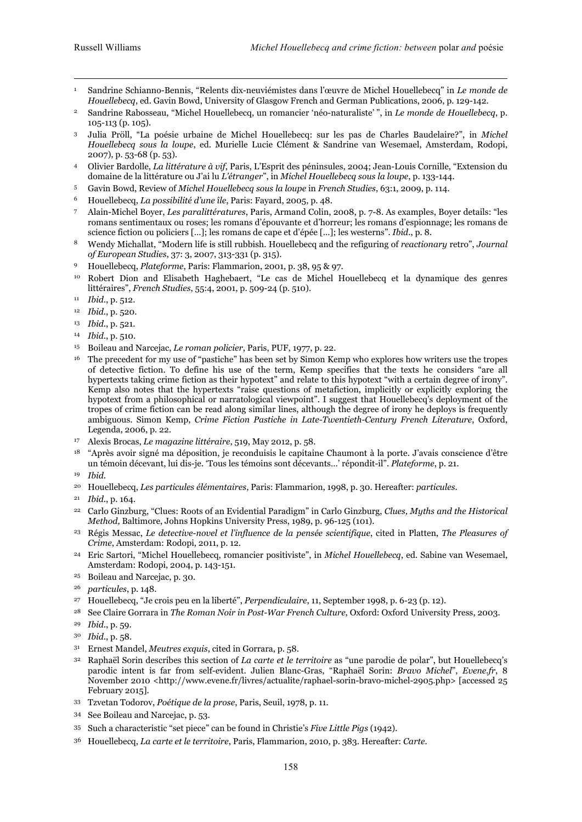<u>.</u>

- <sup>1</sup> Sandrine Schianno-Bennis, "Relents dix-neuviémistes dans l'œuvre de Michel Houellebecq" in *Le monde de Houellebecq*, ed. Gavin Bowd, University of Glasgow French and German Publications, 2006, p. 129-142.
- <sup>2</sup> Sandrine Rabosseau, "Michel Houellebecq, un romancier 'néo-naturaliste' ", in *Le monde de Houellebecq*, p. 105-113 (p. 105).
- <sup>3</sup> Julia Pröll, "La poésie urbaine de Michel Houellebecq: sur les pas de Charles Baudelaire?", in *Michel Houellebecq sous la loupe*, ed. Murielle Lucie Clément & Sandrine van Wesemael, Amsterdam, Rodopi, 2007), p. 53-68 (p. 53).
- <sup>4</sup> Olivier Bardolle, *La littérature à vif*, Paris, L'Esprit des péninsules, 2004; Jean-Louis Cornille, "Extension du domaine de la littérature ou J'ai lu *L'étranger*", in *Michel Houellebecq sous la loupe*, p. 133-144.
- <sup>5</sup> Gavin Bowd, Review of *Michel Houellebecq sous la loupe* in *French Studies*, 63:1, 2009, p. 114.
- <sup>6</sup> Houellebecq, *La possibilité d'une île*, Paris: Fayard, 2005, p. 48.
- <sup>7</sup> Alain-Michel Boyer, *Les paralittératures*, Paris, Armand Colin, 2008, p. 7-8. As examples, Boyer details: "les romans sentimentaux ou roses; les romans d'épouvante et d'horreur; les romans d'espionnage; les romans de science fiction ou policiers […]; les romans de cape et d'épée […]; les westerns". *Ibid*., p. 8.
- <sup>8</sup> Wendy Michallat, "Modern life is still rubbish. Houellebecq and the refiguring of *reactionary* retro", *Journal of European Studies*, 37: 3, 2007, 313-331 (p. 315).
- <sup>9</sup> Houellebecq, *Plateforme*, Paris: Flammarion, 2001, p. 38, 95 & 97.
- <sup>10</sup> Robert Dion and Elisabeth Haghebaert, "Le cas de Michel Houellebecq et la dynamique des genres littéraires", *French Studies*, 55:4, 2001, p. 509-24 (p. 510).
- <sup>11</sup> *Ibid*., p. 512.
- <sup>12</sup> *Ibid*., p. 520.
- <sup>13</sup> *Ibid*., p. 521.
- <sup>14</sup> *Ibid*., p. 510.
- <sup>15</sup> Boileau and Narcejac, *Le roman policier*, Paris, PUF, 1977, p. 22.
- <sup>16</sup> The precedent for my use of "pastiche" has been set by Simon Kemp who explores how writers use the tropes of detective fiction. To define his use of the term, Kemp specifies that the texts he considers "are all hypertexts taking crime fiction as their hypotext" and relate to this hypotext "with a certain degree of irony". Kemp also notes that the hypertexts "raise questions of metafiction, implicitly or explicitly exploring the hypotext from a philosophical or narratological viewpoint". I suggest that Houellebecq's deployment of the tropes of crime fiction can be read along similar lines, although the degree of irony he deploys is frequently ambiguous. Simon Kemp, *Crime Fiction Pastiche in Late-Twentieth-Century French Literature*, Oxford, Legenda, 2006, p. 22.
- <sup>17</sup> Alexis Brocas, *Le magazine littéraire*, 519, May 2012, p. 58.
- <sup>18</sup> "Après avoir signé ma déposition, je reconduisis le capitaine Chaumont à la porte. J'avais conscience d'être un témoin décevant, lui dis-je. 'Tous les témoins sont décevants…' répondit-il". *Plateforme*, p. 21.
- <sup>19</sup> *Ibid*.
- <sup>20</sup> Houellebecq, *Les particules élémentaires*, Paris: Flammarion, 1998, p. 30. Hereafter: *particules*.
- <sup>21</sup> *Ibid*., p. 164.
- <sup>22</sup> Carlo Ginzburg, "Clues: Roots of an Evidential Paradigm" in Carlo Ginzburg, *Clues, Myths and the Historical Method,* Baltimore, Johns Hopkins University Press, 1989, p. 96-125 (101).
- <sup>23</sup> Régis Messac, *Le detective-novel et l'influence de la pensée scientifique*, cited in Platten, *The Pleasures of Crime*, Amsterdam: Rodopi, 2011, p. 12.
- <sup>24</sup> Eric Sartori, "Michel Houellebecq, romancier positiviste", in *Michel Houellebecq*, ed. Sabine van Wesemael, Amsterdam: Rodopi, 2004, p. 143-151.
- <sup>25</sup> Boileau and Narcejac, p. 30.
- <sup>26</sup> *particules*, p. 148.
- <sup>27</sup> Houellebecq, "Je crois peu en la liberté", *Perpendiculaire*, 11, September 1998, p. 6-23 (p. 12).
- <sup>28</sup> See Claire Gorrara in *The Roman Noir in Post-War French Culture*, Oxford: Oxford University Press, 2003.
- <sup>29</sup> *Ibid*., p. 59.
- <sup>30</sup> *Ibid*., p. 58.
- <sup>31</sup> Ernest Mandel, *Meutres exquis*, cited in Gorrara, p. 58.
- <sup>32</sup> Raphaël Sorin describes this section of *La carte et le territoire* as "une parodie de polar", but Houellebecq's parodic intent is far from self-evident. Julien Blanc-Gras, "Raphaël Sorin: *Bravo Michel*", *Evene.fr*, 8 November 2010 <http://www.evene.fr/livres/actualite/raphael-sorin-bravo-michel-2905.php> [accessed 25 February 2015].
- <sup>33</sup> Tzvetan Todorov, *Poétique de la prose*, Paris, Seuil, 1978, p. 11.
- <sup>34</sup> See Boileau and Narcejac, p. 53.
- <sup>35</sup> Such a characteristic "set piece" can be found in Christie's *Five Little Pigs* (1942).
- <sup>36</sup> Houellebecq, *La carte et le territoire*, Paris, Flammarion, 2010, p. 383. Hereafter: *Carte*.